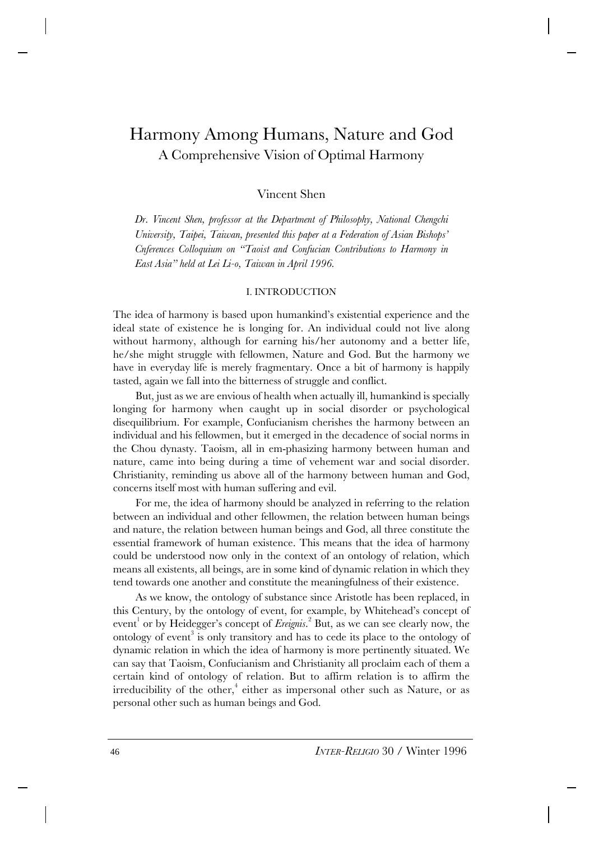# Harmony Among Humans, Nature and God A Comprehensive Vision of Optimal Harmony

# Vincent Shen

*Dr. Vincent Shen, professor at the Department of Philosophy, National Chengchi University, Taipei, Taiwan, presented this paper at a Federation of Asian Bishops' Cnferences Colloquium on "Taoist and Confucian Contributions to Harmony in East Asia" held at Lei Li-o, Taiwan in April 1996.*

#### I. INTRODUCTION

The idea of harmony is based upon humankind's existential experience and the ideal state of existence he is longing for. An individual could not live along without harmony, although for earning his/her autonomy and a better life, he/she might struggle with fellowmen, Nature and God. But the harmony we have in everyday life is merely fragmentary. Once a bit of harmony is happily tasted, again we fall into the bitterness of struggle and conflict.

But, just as we are envious of health when actually ill, humankind is specially longing for harmony when caught up in social disorder or psychological disequilibrium. For example, Confucianism cherishes the harmony between an individual and his fellowmen, but it emerged in the decadence of social norms in the Chou dynasty. Taoism, all in em-phasizing harmony between human and nature, came into being during a time of vehement war and social disorder. Christianity, reminding us above all of the harmony between human and God, concerns itself most with human suffering and evil.

For me, the idea of harmony should be analyzed in referring to the relation between an individual and other fellowmen, the relation between human beings and nature, the relation between human beings and God, all three constitute the essential framework of human existence. This means that the idea of harmony could be understood now only in the context of an ontology of relation, which means all existents, all beings, are in some kind of dynamic relation in which they tend towards one another and constitute the meaningfulness of their existence.

As we know, the ontology of substance since Aristotle has been replaced, in this Century, by the ontology of event, for example, by Whitehead's concept of event<sup>1</sup> or by Heidegger's concept of *Ereignis*.<sup>2</sup> But, as we can see clearly now, the ontology of event<sup>3</sup> is only transitory and has to cede its place to the ontology of dynamic relation in which the idea of harmony is more pertinently situated. We can say that Taoism, Confucianism and Christianity all proclaim each of them a certain kind of ontology of relation. But to affirm relation is to affirm the irreducibility of the other,<sup>4</sup> either as impersonal other such as Nature, or as personal other such as human beings and God.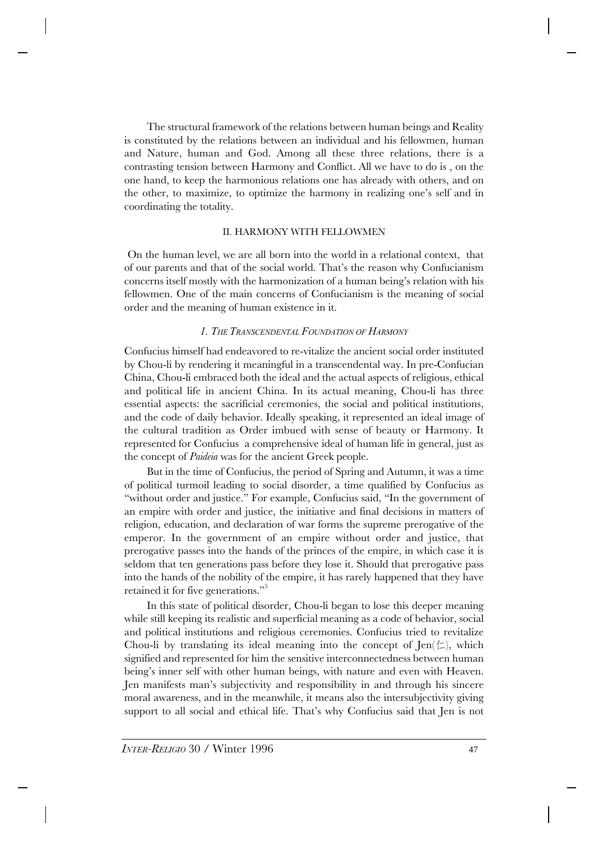The structural framework of the relations between human beings and Reality is constituted by the relations between an individual and his fellowmen, human and Nature, human and God. Among all these three relations, there is a contrasting tension between Harmony and Conflict. All we have to do is , on the one hand, to keep the harmonious relations one has already with others, and on the other, to maximize, to optimize the harmony in realizing one's self and in coordinating the totality.

### II. HARMONY WITH FELLOWMEN

 On the human level, we are all born into the world in a relational context, that of our parents and that of the social world. That's the reason why Confucianism concerns itself mostly with the harmonization of a human being's relation with his fellowmen. One of the main concerns of Confucianism is the meaning of social order and the meaning of human existence in it.

## *1. THE TRANSCENDENTAL FOUNDATION OF HARMONY*

Confucius himself had endeavored to re-vitalize the ancient social order instituted by Chou-li by rendering it meaningful in a transcendental way. In pre-Confucian China, Chou-li embraced both the ideal and the actual aspects of religious, ethical and political life in ancient China. In its actual meaning, Chou-li has three essential aspects: the sacrificial ceremonies, the social and political institutions, and the code of daily behavior. Ideally speaking, it represented an ideal image of the cultural tradition as Order imbued with sense of beauty or Harmony. It represented for Confucius a comprehensive ideal of human life in general, just as the concept of *Paideia* was for the ancient Greek people.

But in the time of Confucius, the period of Spring and Autumn, it was a time of political turmoil leading to social disorder, a time qualified by Confucius as "without order and justice." For example, Confucius said, "In the government of an empire with order and justice, the initiative and final decisions in matters of religion, education, and declaration of war forms the supreme prerogative of the emperor. In the government of an empire without order and justice, that prerogative passes into the hands of the princes of the empire, in which case it is seldom that ten generations pass before they lose it. Should that prerogative pass into the hands of the nobility of the empire, it has rarely happened that they have retained it for five generations."<sup>5</sup>

In this state of political disorder, Chou-li began to lose this deeper meaning while still keeping its realistic and superficial meaning as a code of behavior, social and political institutions and religious ceremonies. Confucius tried to revitalize Chou-li by translating its ideal meaning into the concept of  $\text{len}(\leq)$ , which signified and represented for him the sensitive interconnectedness between human being's inner self with other human beings, with nature and even with Heaven. Jen manifests man's subjectivity and responsibility in and through his sincere moral awareness, and in the meanwhile, it means also the intersubjectivity giving support to all social and ethical life. That's why Confucius said that Jen is not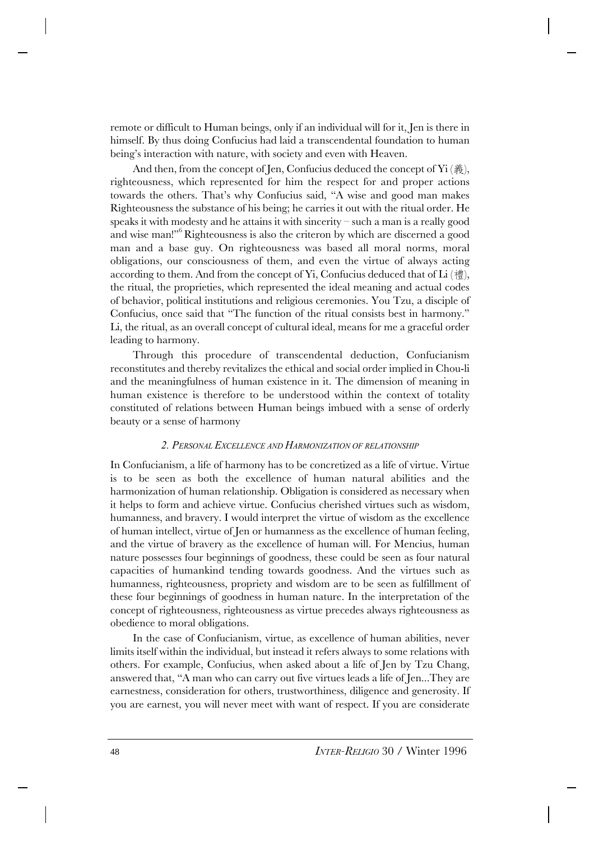remote or difficult to Human beings, only if an individual will for it, Jen is there in himself. By thus doing Confucius had laid a transcendental foundation to human being's interaction with nature, with society and even with Heaven.

And then, from the concept of Jen, Confucius deduced the concept of  $\rm{Yi}$  (義), righteousness, which represented for him the respect for and proper actions towards the others. That's why Confucius said, "A wise and good man makes Righteousness the substance of his being; he carries it out with the ritual order. He speaks it with modesty and he attains it with sincerity – such a man is a really good and wise man!"<sup>6</sup>Righteousness is also the criteron by which are discerned a good man and a base guy. On righteousness was based all moral norms, moral obligations, our consciousness of them, and even the virtue of always acting according to them. And from the concept of Yi, Confucius deduced that of Li  $(\ddot{\ddot{\epsilon}})$ , the ritual, the proprieties, which represented the ideal meaning and actual codes of behavior, political institutions and religious ceremonies. You Tzu, a disciple of Confucius, once said that "The function of the ritual consists best in harmony." Li, the ritual, as an overall concept of cultural ideal, means for me a graceful order leading to harmony.

Through this procedure of transcendental deduction, Confucianism reconstitutes and thereby revitalizes the ethical and social order implied in Chou-li and the meaningfulness of human existence in it. The dimension of meaning in human existence is therefore to be understood within the context of totality constituted of relations between Human beings imbued with a sense of orderly beauty or a sense of harmony

#### *2. PERSONAL EXCELLENCE AND HARMONIZATION OF RELATIONSHIP*

In Confucianism, a life of harmony has to be concretized as a life of virtue. Virtue is to be seen as both the excellence of human natural abilities and the harmonization of human relationship. Obligation is considered as necessary when it helps to form and achieve virtue. Confucius cherished virtues such as wisdom, humanness, and bravery. I would interpret the virtue of wisdom as the excellence of human intellect, virtue of Jen or humanness as the excellence of human feeling, and the virtue of bravery as the excellence of human will. For Mencius, human nature possesses four beginnings of goodness, these could be seen as four natural capacities of humankind tending towards goodness. And the virtues such as humanness, righteousness, propriety and wisdom are to be seen as fulfillment of these four beginnings of goodness in human nature. In the interpretation of the concept of righteousness, righteousness as virtue precedes always righteousness as obedience to moral obligations.

In the case of Confucianism, virtue, as excellence of human abilities, never limits itself within the individual, but instead it refers always to some relations with others. For example, Confucius, when asked about a life of Jen by Tzu Chang, answered that, "A man who can carry out five virtues leads a life of Jen...They are earnestness, consideration for others, trustworthiness, diligence and generosity. If you are earnest, you will never meet with want of respect. If you are considerate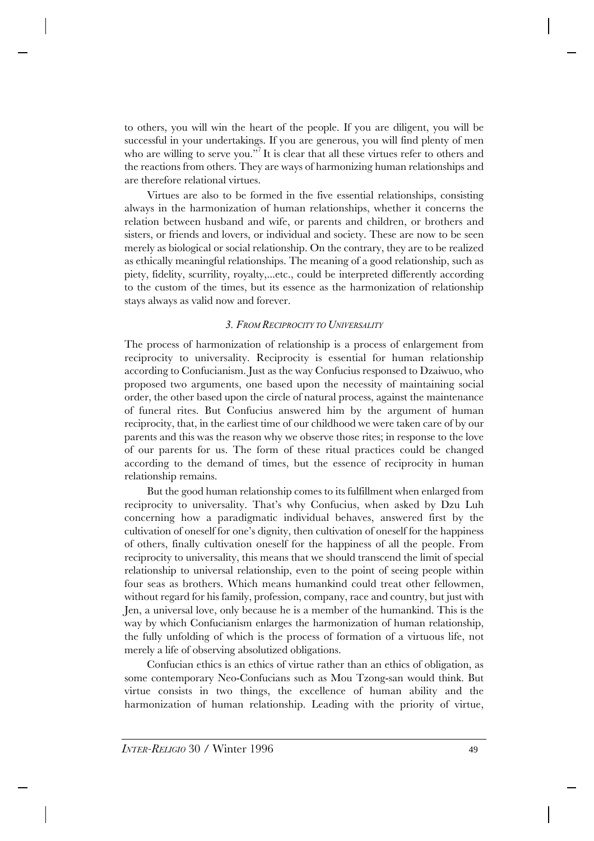to others, you will win the heart of the people. If you are diligent, you will be successful in your undertakings. If you are generous, you will find plenty of men who are willing to serve you."<sup>7</sup>It is clear that all these virtues refer to others and the reactions from others. They are ways of harmonizing human relationships and are therefore relational virtues.

Virtues are also to be formed in the five essential relationships, consisting always in the harmonization of human relationships, whether it concerns the relation between husband and wife, or parents and children, or brothers and sisters, or friends and lovers, or individual and society. These are now to be seen merely as biological or social relationship. On the contrary, they are to be realized as ethically meaningful relationships. The meaning of a good relationship, such as piety, fidelity, scurrility, royalty,...etc., could be interpreted differently according to the custom of the times, but its essence as the harmonization of relationship stays always as valid now and forever.

# *3. FROM RECIPROCITY TO UNIVERSALITY*

The process of harmonization of relationship is a process of enlargement from reciprocity to universality. Reciprocity is essential for human relationship according to Confucianism. Just as the way Confucius responsed to Dzaiwuo, who proposed two arguments, one based upon the necessity of maintaining social order, the other based upon the circle of natural process, against the maintenance of funeral rites. But Confucius answered him by the argument of human reciprocity, that, in the earliest time of our childhood we were taken care of by our parents and this was the reason why we observe those rites; in response to the love of our parents for us. The form of these ritual practices could be changed according to the demand of times, but the essence of reciprocity in human relationship remains.

But the good human relationship comes to its fulfillment when enlarged from reciprocity to universality. That's why Confucius, when asked by Dzu Luh concerning how a paradigmatic individual behaves, answered first by the cultivation of oneself for one's dignity, then cultivation of oneself for the happiness of others, finally cultivation oneself for the happiness of all the people. From reciprocity to universality, this means that we should transcend the limit of special relationship to universal relationship, even to the point of seeing people within four seas as brothers. Which means humankind could treat other fellowmen, without regard for his family, profession, company, race and country, but just with Jen, a universal love, only because he is a member of the humankind. This is the way by which Confucianism enlarges the harmonization of human relationship, the fully unfolding of which is the process of formation of a virtuous life, not merely a life of observing absolutized obligations.

Confucian ethics is an ethics of virtue rather than an ethics of obligation, as some contemporary Neo-Confucians such as Mou Tzong-san would think. But virtue consists in two things, the excellence of human ability and the harmonization of human relationship. Leading with the priority of virtue,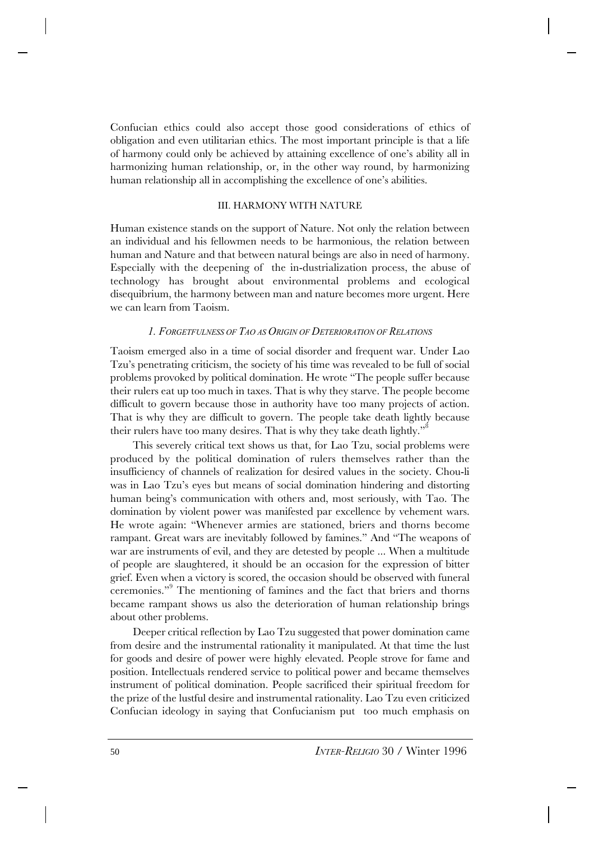Confucian ethics could also accept those good considerations of ethics of obligation and even utilitarian ethics. The most important principle is that a life of harmony could only be achieved by attaining excellence of one's ability all in harmonizing human relationship, or, in the other way round, by harmonizing human relationship all in accomplishing the excellence of one's abilities.

#### III. HARMONY WITH NATURE

Human existence stands on the support of Nature. Not only the relation between an individual and his fellowmen needs to be harmonious, the relation between human and Nature and that between natural beings are also in need of harmony. Especially with the deepening of the in-dustrialization process, the abuse of technology has brought about environmental problems and ecological disequibrium, the harmony between man and nature becomes more urgent. Here we can learn from Taoism.

# *1. FORGETFULNESS OF TAO AS ORIGIN OF DETERIORATION OF RELATIONS*

Taoism emerged also in a time of social disorder and frequent war. Under Lao Tzu's penetrating criticism, the society of his time was revealed to be full of social problems provoked by political domination. He wrote "The people suffer because their rulers eat up too much in taxes. That is why they starve. The people become difficult to govern because those in authority have too many projects of action. That is why they are difficult to govern. The people take death lightly because their rulers have too many desires. That is why they take death lightly."<sup>8</sup>

This severely critical text shows us that, for Lao Tzu, social problems were produced by the political domination of rulers themselves rather than the insufficiency of channels of realization for desired values in the society. Chou-li was in Lao Tzu's eyes but means of social domination hindering and distorting human being's communication with others and, most seriously, with Tao. The domination by violent power was manifested par excellence by vehement wars. He wrote again: "Whenever armies are stationed, briers and thorns become rampant. Great wars are inevitably followed by famines." And "The weapons of war are instruments of evil, and they are detested by people ... When a multitude of people are slaughtered, it should be an occasion for the expression of bitter grief. Even when a victory is scored, the occasion should be observed with funeral ceremonies."<sup>9</sup> The mentioning of famines and the fact that briers and thorns became rampant shows us also the deterioration of human relationship brings about other problems.

Deeper critical reflection by Lao Tzu suggested that power domination came from desire and the instrumental rationality it manipulated. At that time the lust for goods and desire of power were highly elevated. People strove for fame and position. Intellectuals rendered service to political power and became themselves instrument of political domination. People sacrificed their spiritual freedom for the prize of the lustful desire and instrumental rationality. Lao Tzu even criticized Confucian ideology in saying that Confucianism put too much emphasis on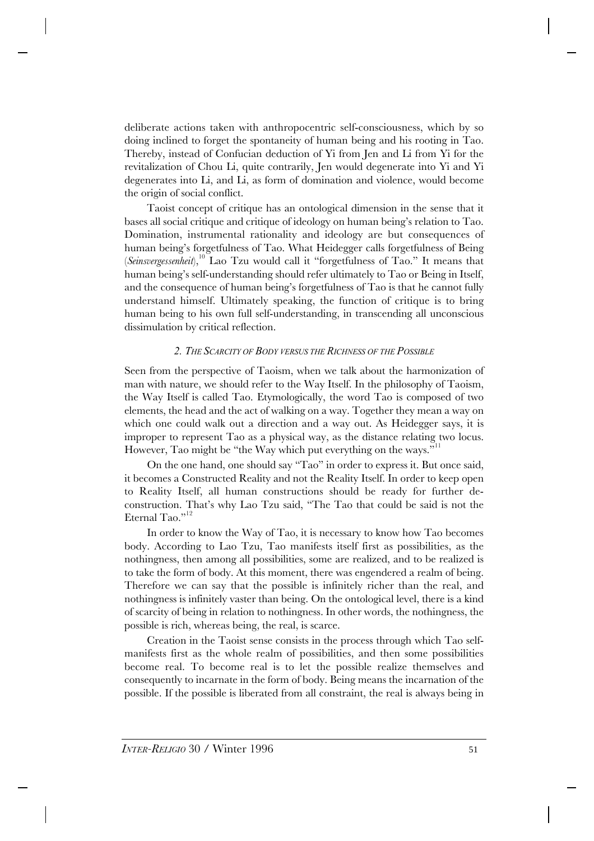deliberate actions taken with anthropocentric self-consciousness, which by so doing inclined to forget the spontaneity of human being and his rooting in Tao. Thereby, instead of Confucian deduction of Yi from Jen and Li from Yi for the revitalization of Chou Li, quite contrarily, Jen would degenerate into Yi and Yi degenerates into Li, and Li, as form of domination and violence, would become the origin of social conflict.

Taoist concept of critique has an ontological dimension in the sense that it bases all social critique and critique of ideology on human being's relation to Tao. Domination, instrumental rationality and ideology are but consequences of human being's forgetfulness of Tao. What Heidegger calls forgetfulness of Being (*Seinsvergessenheit*),<sup>10</sup> Lao Tzu would call it "forgetfulness of Tao." It means that human being's self-understanding should refer ultimately to Tao or Being in Itself, and the consequence of human being's forgetfulness of Tao is that he cannot fully understand himself. Ultimately speaking, the function of critique is to bring human being to his own full self-understanding, in transcending all unconscious dissimulation by critical reflection.

# *2. THE SCARCITY OF BODY VERSUS THE RICHNESS OF THE POSSIBLE*

Seen from the perspective of Taoism, when we talk about the harmonization of man with nature, we should refer to the Way Itself. In the philosophy of Taoism, the Way Itself is called Tao. Etymologically, the word Tao is composed of two elements, the head and the act of walking on a way. Together they mean a way on which one could walk out a direction and a way out. As Heidegger says, it is improper to represent Tao as a physical way, as the distance relating two locus. However, Tao might be "the Way which put everything on the ways."<sup>11</sup>

On the one hand, one should say "Tao" in order to express it. But once said, it becomes a Constructed Reality and not the Reality Itself. In order to keep open to Reality Itself, all human constructions should be ready for further deconstruction. That's why Lao Tzu said, "The Tao that could be said is not the Eternal Tao."<sup>12</sup>

In order to know the Way of Tao, it is necessary to know how Tao becomes body. According to Lao Tzu, Tao manifests itself first as possibilities, as the nothingness, then among all possibilities, some are realized, and to be realized is to take the form of body. At this moment, there was engendered a realm of being. Therefore we can say that the possible is infinitely richer than the real, and nothingness is infinitely vaster than being. On the ontological level, there is a kind of scarcity of being in relation to nothingness. In other words, the nothingness, the possible is rich, whereas being, the real, is scarce.

Creation in the Taoist sense consists in the process through which Tao selfmanifests first as the whole realm of possibilities, and then some possibilities become real. To become real is to let the possible realize themselves and consequently to incarnate in the form of body. Being means the incarnation of the possible. If the possible is liberated from all constraint, the real is always being in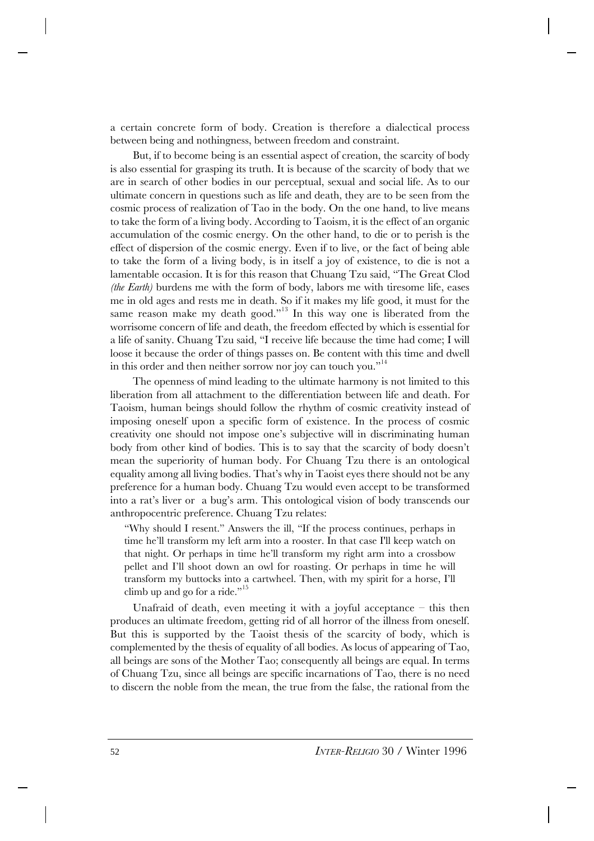a certain concrete form of body. Creation is therefore a dialectical process between being and nothingness, between freedom and constraint.

But, if to become being is an essential aspect of creation, the scarcity of body is also essential for grasping its truth. It is because of the scarcity of body that we are in search of other bodies in our perceptual, sexual and social life. As to our ultimate concern in questions such as life and death, they are to be seen from the cosmic process of realization of Tao in the body. On the one hand, to live means to take the form of a living body. According to Taoism, it is the effect of an organic accumulation of the cosmic energy. On the other hand, to die or to perish is the effect of dispersion of the cosmic energy. Even if to live, or the fact of being able to take the form of a living body, is in itself a joy of existence, to die is not a lamentable occasion. It is for this reason that Chuang Tzu said, "The Great Clod *(the Earth)* burdens me with the form of body, labors me with tiresome life, eases me in old ages and rests me in death. So if it makes my life good, it must for the same reason make my death good."<sup>13</sup> In this way one is liberated from the worrisome concern of life and death, the freedom effected by which is essential for a life of sanity. Chuang Tzu said, "I receive life because the time had come; I will loose it because the order of things passes on. Be content with this time and dwell in this order and then neither sorrow nor joy can touch you."<sup>14</sup>

The openness of mind leading to the ultimate harmony is not limited to this liberation from all attachment to the differentiation between life and death. For Taoism, human beings should follow the rhythm of cosmic creativity instead of imposing oneself upon a specific form of existence. In the process of cosmic creativity one should not impose one's subjective will in discriminating human body from other kind of bodies. This is to say that the scarcity of body doesn't mean the superiority of human body. For Chuang Tzu there is an ontological equality among all living bodies. That's why in Taoist eyes there should not be any preference for a human body. Chuang Tzu would even accept to be transformed into a rat's liver or a bug's arm. This ontological vision of body transcends our anthropocentric preference. Chuang Tzu relates:

"Why should I resent." Answers the ill, "If the process continues, perhaps in time he'll transform my left arm into a rooster. In that case I'll keep watch on that night. Or perhaps in time he'll transform my right arm into a crossbow pellet and I'll shoot down an owl for roasting. Or perhaps in time he will transform my buttocks into a cartwheel. Then, with my spirit for a horse, I'll climb up and go for a ride."<sup>15</sup>

Unafraid of death, even meeting it with a joyful acceptance – this then produces an ultimate freedom, getting rid of all horror of the illness from oneself. But this is supported by the Taoist thesis of the scarcity of body, which is complemented by the thesis of equality of all bodies. As locus of appearing of Tao, all beings are sons of the Mother Tao; consequently all beings are equal. In terms of Chuang Tzu, since all beings are specific incarnations of Tao, there is no need to discern the noble from the mean, the true from the false, the rational from the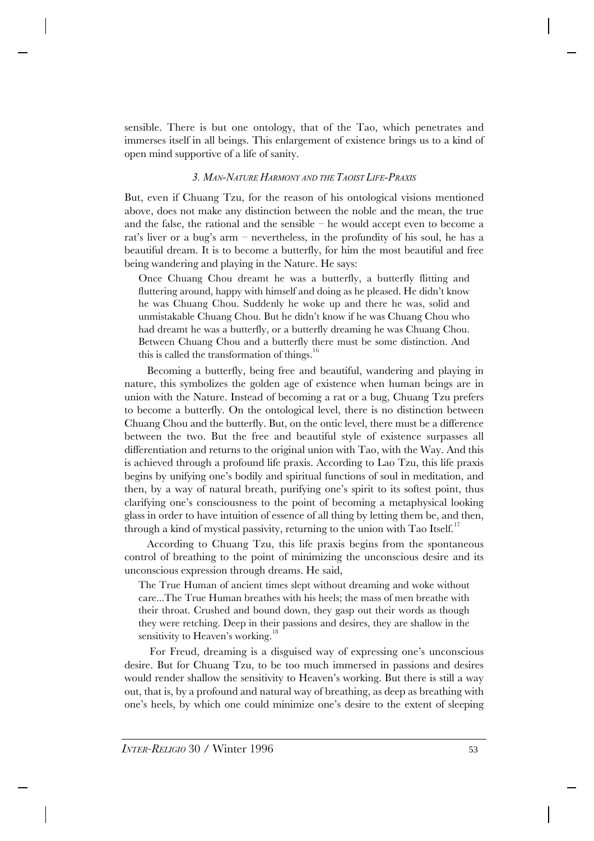sensible. There is but one ontology, that of the Tao, which penetrates and immerses itself in all beings. This enlargement of existence brings us to a kind of open mind supportive of a life of sanity.

## *3. MAN-NATURE HARMONY AND THE TAOIST LIFE-PRAXIS*

But, even if Chuang Tzu, for the reason of his ontological visions mentioned above, does not make any distinction between the noble and the mean, the true and the false, the rational and the sensible – he would accept even to become a rat's liver or a bug's arm – nevertheless, in the profundity of his soul, he has a beautiful dream. It is to become a butterfly, for him the most beautiful and free being wandering and playing in the Nature. He says:

Once Chuang Chou dreamt he was a butterfly, a butterfly flitting and fluttering around, happy with himself and doing as he pleased. He didn't know he was Chuang Chou. Suddenly he woke up and there he was, solid and unmistakable Chuang Chou. But he didn't know if he was Chuang Chou who had dreamt he was a butterfly, or a butterfly dreaming he was Chuang Chou. Between Chuang Chou and a butterfly there must be some distinction. And this is called the transformation of things.<sup>16</sup>

Becoming a butterfly, being free and beautiful, wandering and playing in nature, this symbolizes the golden age of existence when human beings are in union with the Nature. Instead of becoming a rat or a bug, Chuang Tzu prefers to become a butterfly. On the ontological level, there is no distinction between Chuang Chou and the butterfly. But, on the ontic level, there must be a difference between the two. But the free and beautiful style of existence surpasses all differentiation and returns to the original union with Tao, with the Way. And this is achieved through a profound life praxis. According to Lao Tzu, this life praxis begins by unifying one's bodily and spiritual functions of soul in meditation, and then, by a way of natural breath, purifying one's spirit to its softest point, thus clarifying one's consciousness to the point of becoming a metaphysical looking glass in order to have intuition of essence of all thing by letting them be, and then, through a kind of mystical passivity, returning to the union with Tao Itself.<sup>17</sup>

According to Chuang Tzu, this life praxis begins from the spontaneous control of breathing to the point of minimizing the unconscious desire and its unconscious expression through dreams. He said,

The True Human of ancient times slept without dreaming and woke without care...The True Human breathes with his heels; the mass of men breathe with their throat. Crushed and bound down, they gasp out their words as though they were retching. Deep in their passions and desires, they are shallow in the sensitivity to Heaven's working.<sup>18</sup>

 For Freud, dreaming is a disguised way of expressing one's unconscious desire. But for Chuang Tzu, to be too much immersed in passions and desires would render shallow the sensitivity to Heaven's working. But there is still a way out, that is, by a profound and natural way of breathing, as deep as breathing with one's heels, by which one could minimize one's desire to the extent of sleeping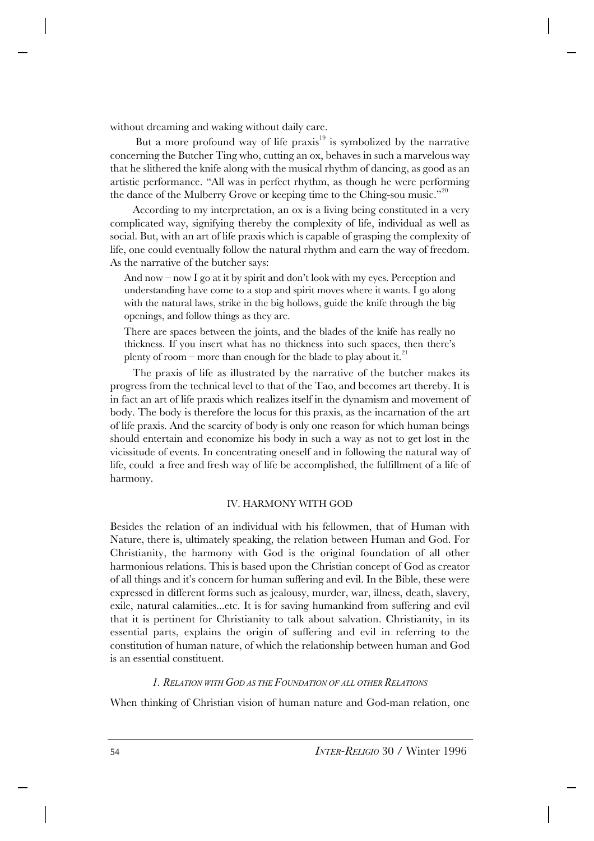without dreaming and waking without daily care.

But a more profound way of life praxis $19$  is symbolized by the narrative concerning the Butcher Ting who, cutting an ox, behaves in such a marvelous way that he slithered the knife along with the musical rhythm of dancing, as good as an artistic performance. "All was in perfect rhythm, as though he were performing the dance of the Mulberry Grove or keeping time to the Ching-sou music."<sup>20</sup>

According to my interpretation, an ox is a living being constituted in a very complicated way, signifying thereby the complexity of life, individual as well as social. But, with an art of life praxis which is capable of grasping the complexity of life, one could eventually follow the natural rhythm and earn the way of freedom. As the narrative of the butcher says:

And now – now I go at it by spirit and don't look with my eyes. Perception and understanding have come to a stop and spirit moves where it wants. I go along with the natural laws, strike in the big hollows, guide the knife through the big openings, and follow things as they are.

There are spaces between the joints, and the blades of the knife has really no thickness. If you insert what has no thickness into such spaces, then there's plenty of room – more than enough for the blade to play about it.<sup>2</sup>

The praxis of life as illustrated by the narrative of the butcher makes its progress from the technical level to that of the Tao, and becomes art thereby. It is in fact an art of life praxis which realizes itself in the dynamism and movement of body. The body is therefore the locus for this praxis, as the incarnation of the art of life praxis. And the scarcity of body is only one reason for which human beings should entertain and economize his body in such a way as not to get lost in the vicissitude of events. In concentrating oneself and in following the natural way of life, could a free and fresh way of life be accomplished, the fulfillment of a life of harmony.

#### IV. HARMONY WITH GOD

Besides the relation of an individual with his fellowmen, that of Human with Nature, there is, ultimately speaking, the relation between Human and God. For Christianity, the harmony with God is the original foundation of all other harmonious relations. This is based upon the Christian concept of God as creator of all things and it's concern for human suffering and evil. In the Bible, these were expressed in different forms such as jealousy, murder, war, illness, death, slavery, exile, natural calamities...etc. It is for saving humankind from suffering and evil that it is pertinent for Christianity to talk about salvation. Christianity, in its essential parts, explains the origin of suffering and evil in referring to the constitution of human nature, of which the relationship between human and God is an essential constituent.

## *1. RELATION WITH GOD AS THE FOUNDATION OF ALL OTHER RELATIONS*

When thinking of Christian vision of human nature and God-man relation, one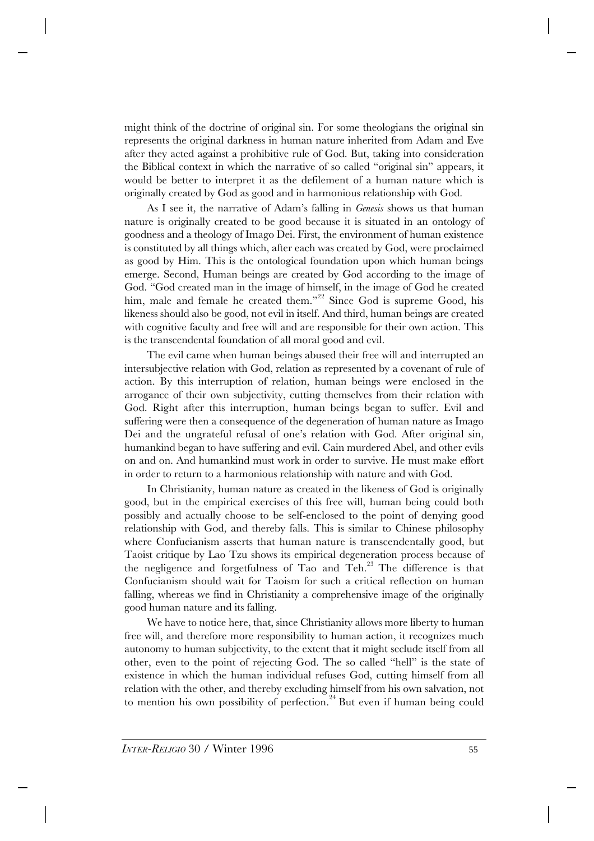might think of the doctrine of original sin. For some theologians the original sin represents the original darkness in human nature inherited from Adam and Eve after they acted against a prohibitive rule of God. But, taking into consideration the Biblical context in which the narrative of so called "original sin" appears, it would be better to interpret it as the defilement of a human nature which is originally created by God as good and in harmonious relationship with God.

As I see it, the narrative of Adam's falling in *Genesis* shows us that human nature is originally created to be good because it is situated in an ontology of goodness and a theology of Imago Dei. First, the environment of human existence is constituted by all things which, after each was created by God, were proclaimed as good by Him. This is the ontological foundation upon which human beings emerge. Second, Human beings are created by God according to the image of God. "God created man in the image of himself, in the image of God he created him, male and female he created them."<sup>22</sup> Since God is supreme Good, his likeness should also be good, not evil in itself. And third, human beings are created with cognitive faculty and free will and are responsible for their own action. This is the transcendental foundation of all moral good and evil.

The evil came when human beings abused their free will and interrupted an intersubjective relation with God, relation as represented by a covenant of rule of action. By this interruption of relation, human beings were enclosed in the arrogance of their own subjectivity, cutting themselves from their relation with God. Right after this interruption, human beings began to suffer. Evil and suffering were then a consequence of the degeneration of human nature as Imago Dei and the ungrateful refusal of one's relation with God. After original sin, humankind began to have suffering and evil. Cain murdered Abel, and other evils on and on. And humankind must work in order to survive. He must make effort in order to return to a harmonious relationship with nature and with God.

In Christianity, human nature as created in the likeness of God is originally good, but in the empirical exercises of this free will, human being could both possibly and actually choose to be self-enclosed to the point of denying good relationship with God, and thereby falls. This is similar to Chinese philosophy where Confucianism asserts that human nature is transcendentally good, but Taoist critique by Lao Tzu shows its empirical degeneration process because of the negligence and forgetfulness of Tao and  $\text{Teh}^{23}$ . The difference is that Confucianism should wait for Taoism for such a critical reflection on human falling, whereas we find in Christianity a comprehensive image of the originally good human nature and its falling.

We have to notice here, that, since Christianity allows more liberty to human free will, and therefore more responsibility to human action, it recognizes much autonomy to human subjectivity, to the extent that it might seclude itself from all other, even to the point of rejecting God. The so called "hell" is the state of existence in which the human individual refuses God, cutting himself from all relation with the other, and thereby excluding himself from his own salvation, not to mention his own possibility of perfection.<sup>24</sup> But even if human being could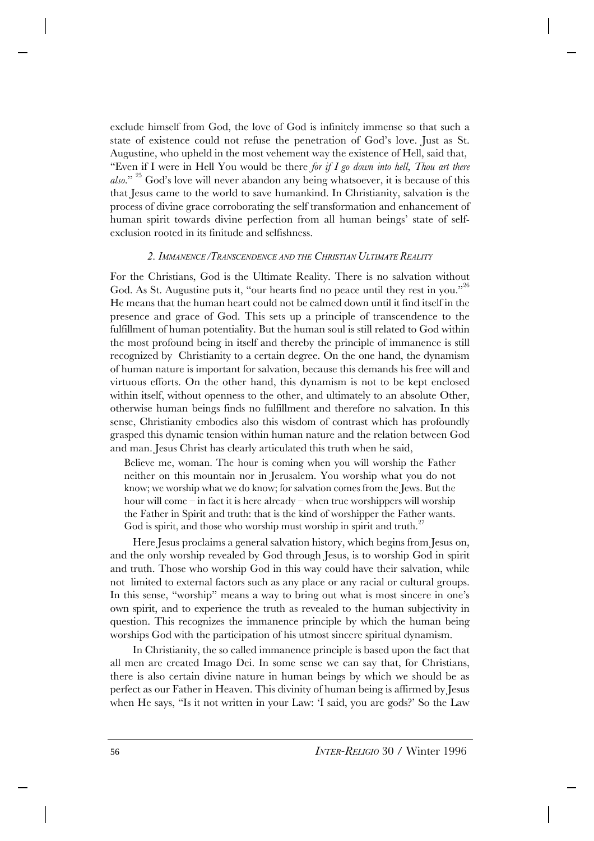exclude himself from God, the love of God is infinitely immense so that such a state of existence could not refuse the penetration of God's love. Just as St. Augustine, who upheld in the most vehement way the existence of Hell, said that, "Even if I were in Hell You would be there *for if I go down into hell, Thou art there also*." <sup>25</sup> God's love will never abandon any being whatsoever, it is because of this that Jesus came to the world to save humankind. In Christianity, salvation is the process of divine grace corroborating the self transformation and enhancement of human spirit towards divine perfection from all human beings' state of selfexclusion rooted in its finitude and selfishness.

#### *2. IMMANENCE /TRANSCENDENCE AND THE CHRISTIAN ULTIMATE REALITY*

For the Christians, God is the Ultimate Reality. There is no salvation without God. As St. Augustine puts it, "our hearts find no peace until they rest in you."<sup>26</sup> He means that the human heart could not be calmed down until it find itself in the presence and grace of God. This sets up a principle of transcendence to the fulfillment of human potentiality. But the human soul is still related to God within the most profound being in itself and thereby the principle of immanence is still recognized by Christianity to a certain degree. On the one hand, the dynamism of human nature is important for salvation, because this demands his free will and virtuous efforts. On the other hand, this dynamism is not to be kept enclosed within itself, without openness to the other, and ultimately to an absolute Other, otherwise human beings finds no fulfillment and therefore no salvation. In this sense, Christianity embodies also this wisdom of contrast which has profoundly grasped this dynamic tension within human nature and the relation between God and man. Jesus Christ has clearly articulated this truth when he said,

Believe me, woman. The hour is coming when you will worship the Father neither on this mountain nor in Jerusalem. You worship what you do not know; we worship what we do know; for salvation comes from the Jews. But the hour will come – in fact it is here already – when true worshippers will worship the Father in Spirit and truth: that is the kind of worshipper the Father wants. God is spirit, and those who worship must worship in spirit and truth.<sup>27</sup>

Here Jesus proclaims a general salvation history, which begins from Jesus on, and the only worship revealed by God through Jesus, is to worship God in spirit and truth. Those who worship God in this way could have their salvation, while not limited to external factors such as any place or any racial or cultural groups. In this sense, "worship" means a way to bring out what is most sincere in one's own spirit, and to experience the truth as revealed to the human subjectivity in question. This recognizes the immanence principle by which the human being worships God with the participation of his utmost sincere spiritual dynamism.

In Christianity, the so called immanence principle is based upon the fact that all men are created Imago Dei. In some sense we can say that, for Christians, there is also certain divine nature in human beings by which we should be as perfect as our Father in Heaven. This divinity of human being is affirmed by Jesus when He says, "Is it not written in your Law: 'I said, you are gods?' So the Law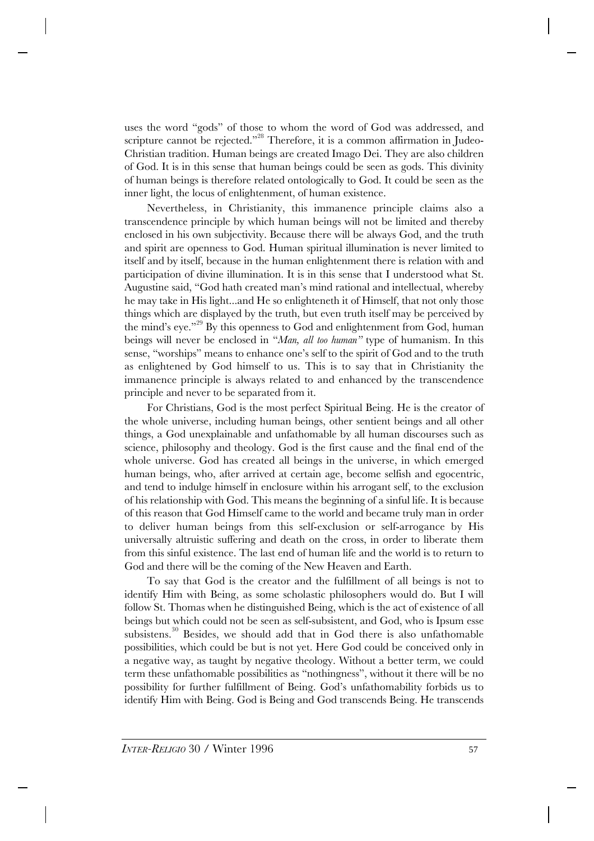uses the word "gods" of those to whom the word of God was addressed, and scripture cannot be rejected."<sup>28</sup> Therefore, it is a common affirmation in Judeo-Christian tradition. Human beings are created Imago Dei. They are also children of God. It is in this sense that human beings could be seen as gods. This divinity of human beings is therefore related ontologically to God. It could be seen as the inner light, the locus of enlightenment, of human existence.

Nevertheless, in Christianity, this immanence principle claims also a transcendence principle by which human beings will not be limited and thereby enclosed in his own subjectivity. Because there will be always God, and the truth and spirit are openness to God. Human spiritual illumination is never limited to itself and by itself, because in the human enlightenment there is relation with and participation of divine illumination. It is in this sense that I understood what St. Augustine said, "God hath created man's mind rational and intellectual, whereby he may take in His light...and He so enlighteneth it of Himself, that not only those things which are displayed by the truth, but even truth itself may be perceived by the mind's eye."<sup>29</sup> By this openness to God and enlightenment from God, human beings will never be enclosed in "*Man, all too human"* type of humanism. In this sense, "worships" means to enhance one's self to the spirit of God and to the truth as enlightened by God himself to us. This is to say that in Christianity the immanence principle is always related to and enhanced by the transcendence principle and never to be separated from it.

For Christians, God is the most perfect Spiritual Being. He is the creator of the whole universe, including human beings, other sentient beings and all other things, a God unexplainable and unfathomable by all human discourses such as science, philosophy and theology. God is the first cause and the final end of the whole universe. God has created all beings in the universe, in which emerged human beings, who, after arrived at certain age, become selfish and egocentric, and tend to indulge himself in enclosure within his arrogant self, to the exclusion of his relationship with God. This means the beginning of a sinful life. It is because of this reason that God Himself came to the world and became truly man in order to deliver human beings from this self-exclusion or self-arrogance by His universally altruistic suffering and death on the cross, in order to liberate them from this sinful existence. The last end of human life and the world is to return to God and there will be the coming of the New Heaven and Earth.

To say that God is the creator and the fulfillment of all beings is not to identify Him with Being, as some scholastic philosophers would do. But I will follow St. Thomas when he distinguished Being, which is the act of existence of all beings but which could not be seen as self-subsistent, and God, who is Ipsum esse subsistens.<sup>30</sup> Besides, we should add that in God there is also unfathomable possibilities, which could be but is not yet. Here God could be conceived only in a negative way, as taught by negative theology. Without a better term, we could term these unfathomable possibilities as "nothingness", without it there will be no possibility for further fulfillment of Being. God's unfathomability forbids us to identify Him with Being. God is Being and God transcends Being. He transcends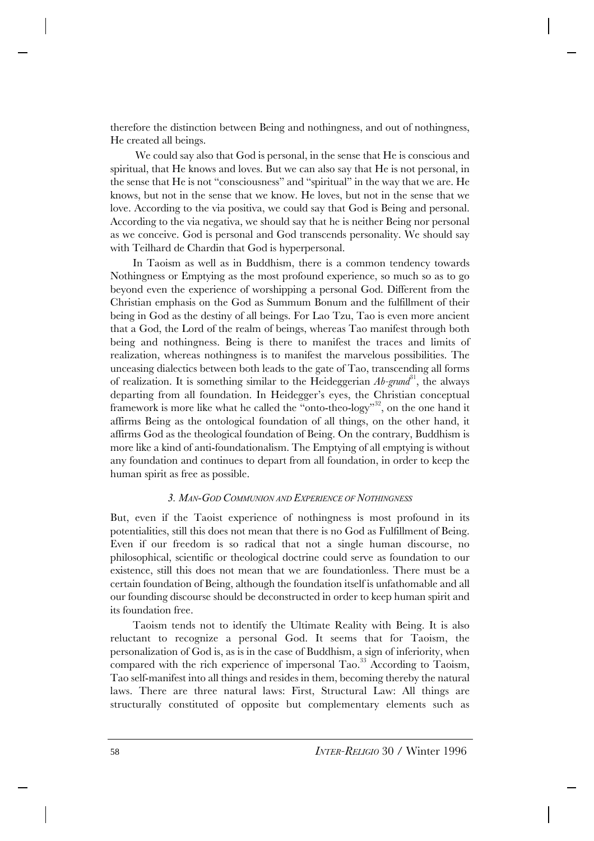therefore the distinction between Being and nothingness, and out of nothingness, He created all beings.

 We could say also that God is personal, in the sense that He is conscious and spiritual, that He knows and loves. But we can also say that He is not personal, in the sense that He is not "consciousness" and "spiritual" in the way that we are. He knows, but not in the sense that we know. He loves, but not in the sense that we love. According to the via positiva, we could say that God is Being and personal. According to the via negativa, we should say that he is neither Being nor personal as we conceive. God is personal and God transcends personality. We should say with Teilhard de Chardin that God is hyperpersonal.

In Taoism as well as in Buddhism, there is a common tendency towards Nothingness or Emptying as the most profound experience, so much so as to go beyond even the experience of worshipping a personal God. Different from the Christian emphasis on the God as Summum Bonum and the fulfillment of their being in God as the destiny of all beings. For Lao Tzu, Tao is even more ancient that a God, the Lord of the realm of beings, whereas Tao manifest through both being and nothingness. Being is there to manifest the traces and limits of realization, whereas nothingness is to manifest the marvelous possibilities. The unceasing dialectics between both leads to the gate of Tao, transcending all forms of realization. It is something similar to the Heideggerian  $Ab\text{-}g\text{-}and\textsuperscript{31}$ , the always departing from all foundation. In Heidegger's eyes, the Christian conceptual framework is more like what he called the "onto-theo-logy"<sup>32</sup>, on the one hand it affirms Being as the ontological foundation of all things, on the other hand, it affirms God as the theological foundation of Being. On the contrary, Buddhism is more like a kind of anti-foundationalism. The Emptying of all emptying is without any foundation and continues to depart from all foundation, in order to keep the human spirit as free as possible.

# *3. MAN-GOD COMMUNION AND EXPERIENCE OF NOTHINGNESS*

But, even if the Taoist experience of nothingness is most profound in its potentialities, still this does not mean that there is no God as Fulfillment of Being. Even if our freedom is so radical that not a single human discourse, no philosophical, scientific or theological doctrine could serve as foundation to our existence, still this does not mean that we are foundationless. There must be a certain foundation of Being, although the foundation itself is unfathomable and all our founding discourse should be deconstructed in order to keep human spirit and its foundation free.

Taoism tends not to identify the Ultimate Reality with Being. It is also reluctant to recognize a personal God. It seems that for Taoism, the personalization of God is, as is in the case of Buddhism, a sign of inferiority, when compared with the rich experience of impersonal  $Ta\alpha$ .<sup>33</sup> According to Taoism, Tao self-manifest into all things and resides in them, becoming thereby the natural laws. There are three natural laws: First, Structural Law: All things are structurally constituted of opposite but complementary elements such as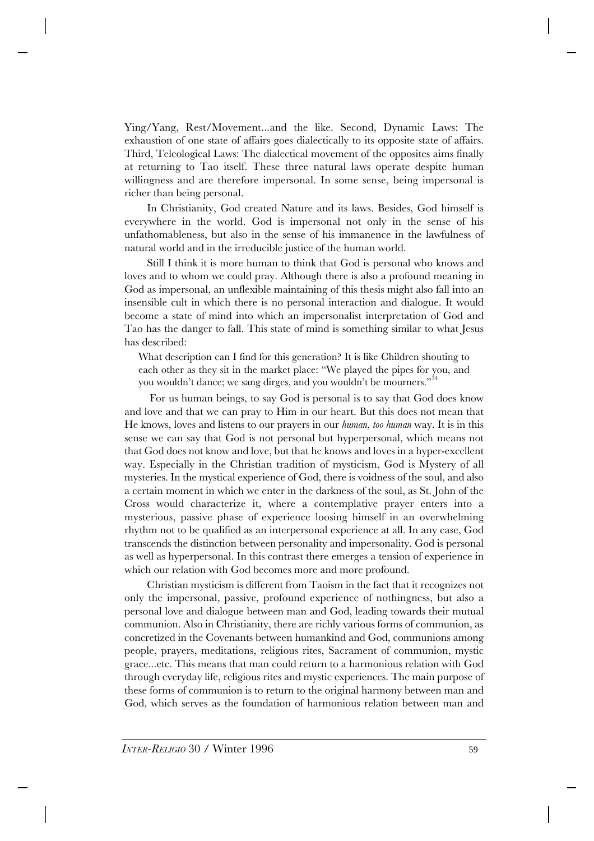Ying/Yang, Rest/Movement...and the like. Second, Dynamic Laws: The exhaustion of one state of affairs goes dialectically to its opposite state of affairs. Third, Teleological Laws: The dialectical movement of the opposites aims finally at returning to Tao itself. These three natural laws operate despite human willingness and are therefore impersonal. In some sense, being impersonal is richer than being personal.

In Christianity, God created Nature and its laws. Besides, God himself is everywhere in the world. God is impersonal not only in the sense of his unfathomableness, but also in the sense of his immanence in the lawfulness of natural world and in the irreducible justice of the human world.

Still I think it is more human to think that God is personal who knows and loves and to whom we could pray. Although there is also a profound meaning in God as impersonal, an unflexible maintaining of this thesis might also fall into an insensible cult in which there is no personal interaction and dialogue. It would become a state of mind into which an impersonalist interpretation of God and Tao has the danger to fall. This state of mind is something similar to what Jesus has described:

What description can I find for this generation? It is like Children shouting to each other as they sit in the market place: "We played the pipes for you, and you wouldn't dance; we sang dirges, and you wouldn't be mourners."<sup>34</sup>

 For us human beings, to say God is personal is to say that God does know and love and that we can pray to Him in our heart. But this does not mean that He knows, loves and listens to our prayers in our *human, too human* way. It is in this sense we can say that God is not personal but hyperpersonal, which means not that God does not know and love, but that he knows and loves in a hyper-excellent way. Especially in the Christian tradition of mysticism, God is Mystery of all mysteries. In the mystical experience of God, there is voidness of the soul, and also a certain moment in which we enter in the darkness of the soul, as St. John of the Cross would characterize it, where a contemplative prayer enters into a mysterious, passive phase of experience loosing himself in an overwhelming rhythm not to be qualified as an interpersonal experience at all. In any case, God transcends the distinction between personality and impersonality. God is personal as well as hyperpersonal. In this contrast there emerges a tension of experience in which our relation with God becomes more and more profound.

Christian mysticism is different from Taoism in the fact that it recognizes not only the impersonal, passive, profound experience of nothingness, but also a personal love and dialogue between man and God, leading towards their mutual communion. Also in Christianity, there are richly various forms of communion, as concretized in the Covenants between humankind and God, communions among people, prayers, meditations, religious rites, Sacrament of communion, mystic grace...etc. This means that man could return to a harmonious relation with God through everyday life, religious rites and mystic experiences. The main purpose of these forms of communion is to return to the original harmony between man and God, which serves as the foundation of harmonious relation between man and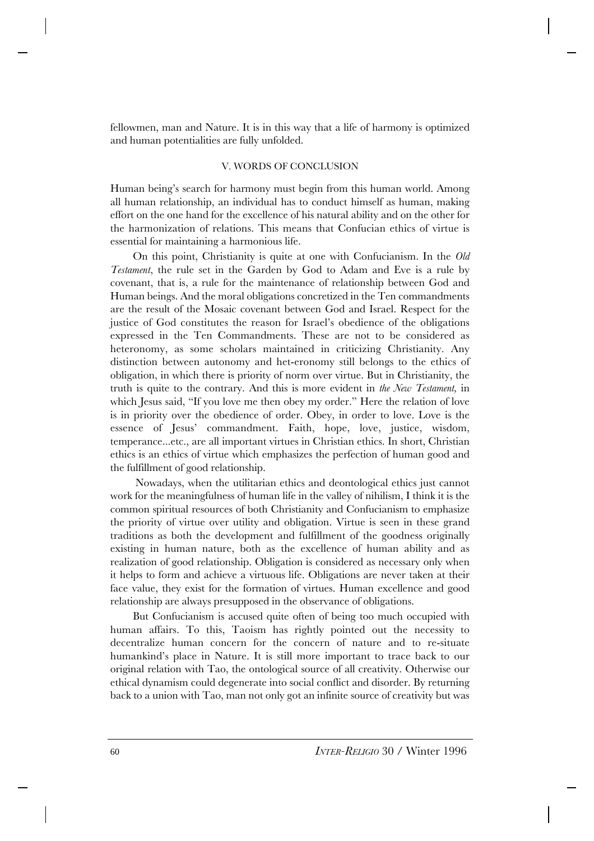fellowmen, man and Nature. It is in this way that a life of harmony is optimized and human potentialities are fully unfolded.

## V. WORDS OF CONCLUSION

Human being's search for harmony must begin from this human world. Among all human relationship, an individual has to conduct himself as human, making effort on the one hand for the excellence of his natural ability and on the other for the harmonization of relations. This means that Confucian ethics of virtue is essential for maintaining a harmonious life.

On this point, Christianity is quite at one with Confucianism. In the *Old Testament*, the rule set in the Garden by God to Adam and Eve is a rule by covenant, that is, a rule for the maintenance of relationship between God and Human beings. And the moral obligations concretized in the Ten commandments are the result of the Mosaic covenant between God and Israel. Respect for the justice of God constitutes the reason for Israel's obedience of the obligations expressed in the Ten Commandments. These are not to be considered as heteronomy, as some scholars maintained in criticizing Christianity. Any distinction between autonomy and het-eronomy still belongs to the ethics of obligation, in which there is priority of norm over virtue. But in Christianity, the truth is quite to the contrary. And this is more evident in *the New Testament,* in which Jesus said, "If you love me then obey my order." Here the relation of love is in priority over the obedience of order. Obey, in order to love. Love is the essence of Jesus' commandment. Faith, hope, love, justice, wisdom, temperance...etc., are all important virtues in Christian ethics. In short, Christian ethics is an ethics of virtue which emphasizes the perfection of human good and the fulfillment of good relationship.

 Nowadays, when the utilitarian ethics and deontological ethics just cannot work for the meaningfulness of human life in the valley of nihilism, I think it is the common spiritual resources of both Christianity and Confucianism to emphasize the priority of virtue over utility and obligation. Virtue is seen in these grand traditions as both the development and fulfillment of the goodness originally existing in human nature, both as the excellence of human ability and as realization of good relationship. Obligation is considered as necessary only when it helps to form and achieve a virtuous life. Obligations are never taken at their face value, they exist for the formation of virtues. Human excellence and good relationship are always presupposed in the observance of obligations.

But Confucianism is accused quite often of being too much occupied with human affairs. To this, Taoism has rightly pointed out the necessity to decentralize human concern for the concern of nature and to re-situate humankind's place in Nature. It is still more important to trace back to our original relation with Tao, the ontological source of all creativity. Otherwise our ethical dynamism could degenerate into social conflict and disorder. By returning back to a union with Tao, man not only got an infinite source of creativity but was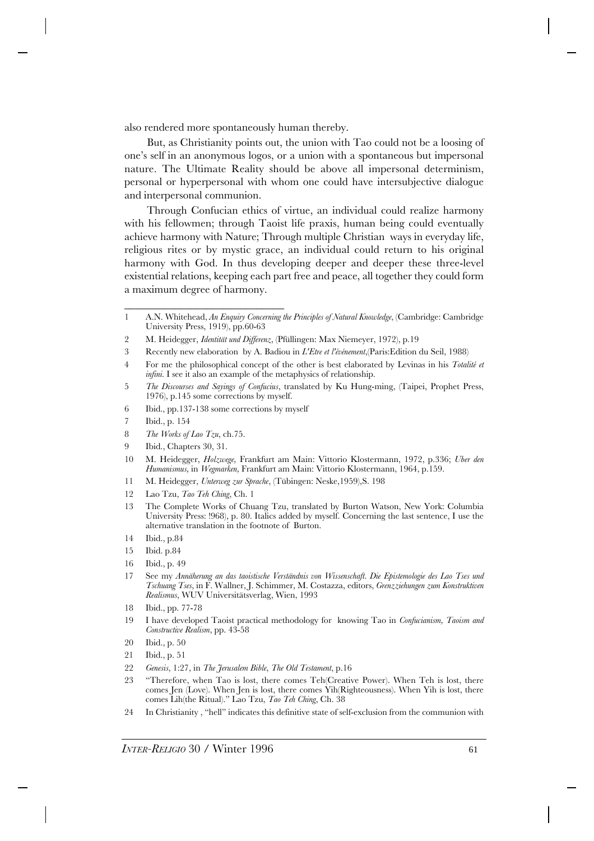also rendered more spontaneously human thereby.

But, as Christianity points out, the union with Tao could not be a loosing of one's self in an anonymous logos, or a union with a spontaneous but impersonal nature. The Ultimate Reality should be above all impersonal determinism, personal or hyperpersonal with whom one could have intersubjective dialogue and interpersonal communion.

Through Confucian ethics of virtue, an individual could realize harmony with his fellowmen; through Taoist life praxis, human being could eventually achieve harmony with Nature; Through multiple Christian ways in everyday life, religious rites or by mystic grace, an individual could return to his original harmony with God. In thus developing deeper and deeper these three-level existential relations, keeping each part free and peace, all together they could form a maximum degree of harmony.

3 Recently new elaboration by A. Badiou in *L'Etre et l'événement*,(Paris:Edition du Seil, 1988)

6 Ibid., pp.137-138 some corrections by myself

\_\_\_\_\_\_\_\_\_\_\_\_\_\_\_\_\_\_\_\_\_\_\_\_\_\_\_\_\_

- 7 Ibid., p. 154
- 8 *The Works of Lao Tzu*, ch.75.
- 9 Ibid., Chapters 30, 31.
- 10 M. Heidegger, *Holzwege,* Frankfurt am Main: Vittorio Klostermann, 1972, p.336; *Uber den Humanismus,* in *Wegmarken,* Frankfurt am Main: Vittorio Klostermann, 1964, p.159.
- 11 M. Heidegger, *Unterweg zur Sprache*, (Tübingen: Neske,1959),S. 198
- 12 Lao Tzu, *Tao Teh Ching*, Ch. 1
- 13 The Complete Works of Chuang Tzu, translated by Burton Watson, New York: Columbia University Press: !968), p. 80. Italics added by myself. Concerning the last sentence, I use the alternative translation in the footnote of Burton.
- 14 Ibid., p.84
- 15 Ibid. p.84
- 16 Ibid., p. 49
- 17 See my *Annäherung an das taoistische Verständnis von Wissenschaft. Die Epistemologie des Lao Tses und Tschuang Tses*, in F. Wallner, J. Schimmer, M. Costazza, editors, *Grenzziehungen zum Konstruktiven Realismus*, WUV Universitätsverlag, Wien, 1993
- 18 Ibid., pp. 77-78
- 19 I have developed Taoist practical methodology for knowing Tao in *Confucianism, Taoism and Constructive Realism*, pp. 43-58
- 20 Ibid., p. 50
- 21 Ibid., p. 51
- 22 *Genesis*, 1:27, in *The Jerusalem Bible*, *The Old Testament*, p.16
- 23 "Therefore, when Tao is lost, there comes Teh(Creative Power). When Teh is lost, there comes Jen (Love). When Jen is lost, there comes Yih(Righteousness). When Yih is lost, there comes Lih(the Ritual)." Lao Tzu, *Tao Teh Ching*, Ch. 38
- 24 In Christianity , "hell" indicates this definitive state of self-exclusion from the communion with

<sup>1</sup> A.N. Whitehead, *An Enquiry Concerning the Principles of Natural Knowledge*, (Cambridge: Cambridge University Press, 1919), pp.60-63

<sup>2</sup> M. Heidegger, *Identität und Differenz*, (Pfüllingen: Max Niemeyer, 1972), p.19

<sup>4</sup> For me the philosophical concept of the other is best elaborated by Levinas in his *Totalité et infini*. I see it also an example of the metaphysics of relationship.

<sup>5</sup> *The Discourses and Sayings of Confucius*, translated by Ku Hung-ming, (Taipei, Prophet Press, 1976), p.145 some corrections by myself.